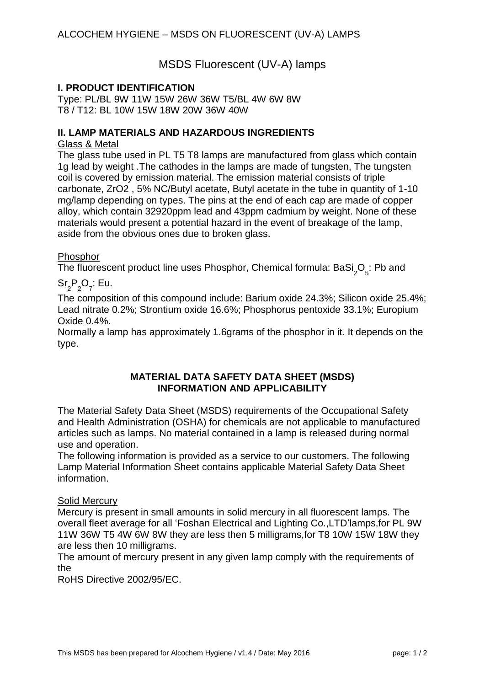MSDS Fluorescent (UV-A) lamps

## **I. PRODUCT IDENTIFICATION**

Type: PL/BL 9W 11W 15W 26W 36W T5/BL 4W 6W 8W T8 / T12: BL 10W 15W 18W 20W 36W 40W

## **II. LAMP MATERIALS AND HAZARDOUS INGREDIENTS**

### Glass & Metal

The glass tube used in PL T5 T8 lamps are manufactured from glass which contain 1g lead by weight .The cathodes in the lamps are made of tungsten, The tungsten coil is covered by emission material. The emission material consists of triple carbonate, ZrO2 , 5% NC/Butyl acetate, Butyl acetate in the tube in quantity of 1-10 mg/lamp depending on types. The pins at the end of each cap are made of copper alloy, which contain 32920ppm lead and 43ppm cadmium by weight. None of these materials would present a potential hazard in the event of breakage of the lamp, aside from the obvious ones due to broken glass.

### **Phosphor**

The fluorescent product line uses Phosphor, Chemical formula: BaSi ${_{2}O}_{5}$ : Pb and

# $\text{Sr}_{2} \text{P}_{2} \text{O}_{7}$ : Eu.

The composition of this compound include: Barium oxide 24.3%; Silicon oxide 25.4%; Lead nitrate 0.2%; Strontium oxide 16.6%; Phosphorus pentoxide 33.1%; Europium Oxide 0.4%.

Normally a lamp has approximately 1.6grams of the phosphor in it. It depends on the type.

### **MATERIAL DATA SAFETY DATA SHEET (MSDS) INFORMATION AND APPLICABILITY**

The Material Safety Data Sheet (MSDS) requirements of the Occupational Safety and Health Administration (OSHA) for chemicals are not applicable to manufactured articles such as lamps. No material contained in a lamp is released during normal use and operation.

The following information is provided as a service to our customers. The following Lamp Material Information Sheet contains applicable Material Safety Data Sheet information.

### Solid Mercury

Mercury is present in small amounts in solid mercury in all fluorescent lamps. The overall fleet average for all 'Foshan Electrical and Lighting Co.,LTD'lamps,for PL 9W 11W 36W T5 4W 6W 8W they are less then 5 milligrams,for T8 10W 15W 18W they are less then 10 milligrams.

The amount of mercury present in any given lamp comply with the requirements of the

RoHS Directive 2002/95/EC.